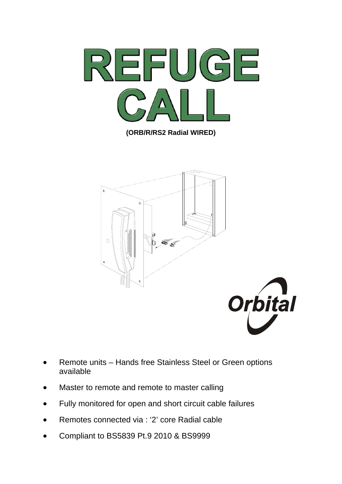

**(ORB/R/RS2 Radial WIRED)** 



- Remote units Hands free Stainless Steel or Green options available
- Master to remote and remote to master calling
- Fully monitored for open and short circuit cable failures
- Remotes connected via : '2' core Radial cable
- Compliant to BS5839 Pt.9 2010 & BS9999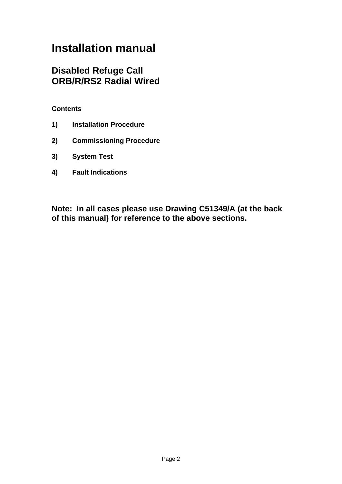# **Installation manual**

# **Disabled Refuge Call ORB/R/RS2 Radial Wired**

## **Contents**

- **1) Installation Procedure**
- **2) Commissioning Procedure**
- **3) System Test**
- **4) Fault Indications**

**Note: In all cases please use Drawing C51349/A (at the back of this manual) for reference to the above sections.**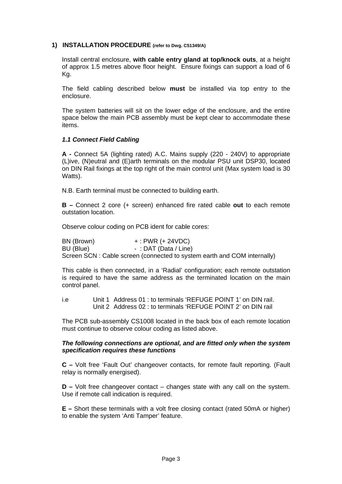#### **1) INSTALLATION PROCEDURE (refer to Dwg. C51349/A)**

Install central enclosure, **with cable entry gland at top/knock outs**, at a height of approx 1.5 metres above floor height. Ensure fixings can support a load of 6 Kg.

The field cabling described below **must** be installed via top entry to the enclosure.

The system batteries will sit on the lower edge of the enclosure, and the entire space below the main PCB assembly must be kept clear to accommodate these items.

#### *1.1 Connect Field Cabling*

**A -** Connect 5A (lighting rated) A.C. Mains supply (220 - 240V) to appropriate (L)ive, (N)eutral and (E)arth terminals on the modular PSU unit DSP30, located on DIN Rail fixings at the top right of the main control unit (Max system load is 30 Watts).

N.B. Earth terminal must be connected to building earth.

**B –** Connect 2 core (+ screen) enhanced fire rated cable **out** to each remote outstation location.

Observe colour coding on PCB ident for cable cores:

BN (Brown) + : PWR (+ 24VDC) BU (Blue) - : DAT (Data / Line) Screen SCN : Cable screen (connected to system earth and COM internally)

This cable is then connected, in a 'Radial' configuration; each remote outstation is required to have the same address as the terminated location on the main control panel.

i.e Unit 1 Address 01 : to terminals 'REFUGE POINT 1' on DIN rail. Unit 2 Address 02 : to terminals 'REFUGE POINT 2' on DIN rail

The PCB sub-assembly CS1008 located in the back box of each remote location must continue to observe colour coding as listed above.

#### *The following connections are optional, and are fitted only when the system specification requires these functions*

**C –** Volt free 'Fault Out' changeover contacts, for remote fault reporting. (Fault relay is normally energised).

**D –** Volt free changeover contact – changes state with any call on the system. Use if remote call indication is required.

**E –** Short these terminals with a volt free closing contact (rated 50mA or higher) to enable the system 'Anti Tamper' feature.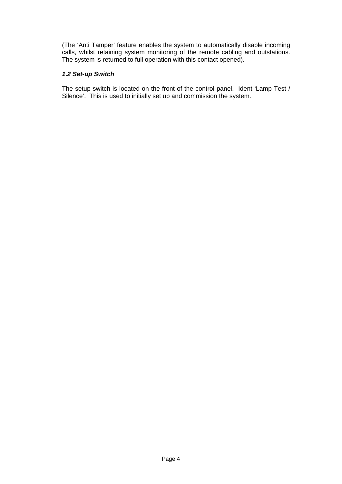(The 'Anti Tamper' feature enables the system to automatically disable incoming calls, whilst retaining system monitoring of the remote cabling and outstations. The system is returned to full operation with this contact opened).

#### *1.2 Set-up Switch*

The setup switch is located on the front of the control panel. Ident 'Lamp Test / Silence'. This is used to initially set up and commission the system.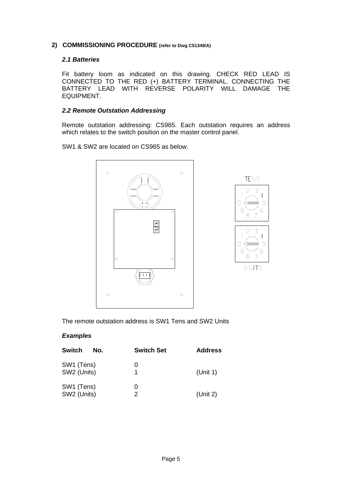#### **2) COMMISSIONING PROCEDURE (refer to Dwg C51349/A)**

#### *2.1 Batteries*

Fit battery loom as indicated on this drawing. CHECK RED LEAD IS CONNECTED TO THE RED (+) BATTERY TERMINAL. CONNECTING THE BATTERY LEAD WITH REVERSE POLARITY WILL DAMAGE THE EQUIPMENT.

#### *2.2 Remote Outstation Addressing*

Remote outstation addressing: CS965. Each outstation requires an address which relates to the switch position on the master control panel.

SW1 & SW2 are located on CS965 as below.





The remote outstation address is SW1 Tens and SW2 Units

#### *Examples*

| <b>Switch</b><br>No.      | <b>Switch Set</b> | <b>Address</b> |
|---------------------------|-------------------|----------------|
| SW1 (Tens)<br>SW2 (Units) | O                 | (Unit 1)       |
| SW1 (Tens)<br>SW2 (Units) | O)<br>2           | (Unit 2)       |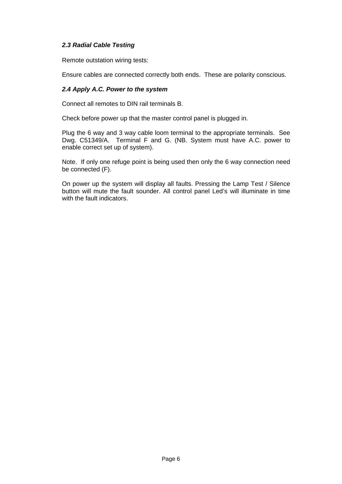#### *2.3 Radial Cable Testing*

Remote outstation wiring tests:

Ensure cables are connected correctly both ends. These are polarity conscious.

#### *2.4 Apply A.C. Power to the system*

Connect all remotes to DIN rail terminals B.

Check before power up that the master control panel is plugged in.

Plug the 6 way and 3 way cable loom terminal to the appropriate terminals. See Dwg. C51349/A. Terminal F and G. (NB. System must have A.C. power to enable correct set up of system).

Note. If only one refuge point is being used then only the 6 way connection need be connected (F).

On power up the system will display all faults. Pressing the Lamp Test / Silence button will mute the fault sounder. All control panel Led's will illuminate in time with the fault indicators.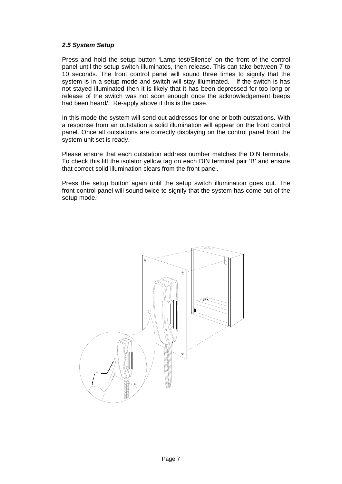#### *2.5 System Setup*

Press and hold the setup button 'Lamp test/Silence' on the front of the control panel until the setup switch illuminates, then release. This can take between 7 to 10 seconds. The front control panel will sound three times to signify that the system is in a setup mode and switch will stay illuminated. If the switch is has not stayed illuminated then it is likely that it has been depressed for too long or release of the switch was not soon enough once the acknowledgement beeps had been heard/. Re-apply above if this is the case.

In this mode the system will send out addresses for one or both outstations. With a response from an outstation a solid illumination will appear on the front control panel. Once all outstations are correctly displaying on the control panel front the system unit set is ready.

Please ensure that each outstation address number matches the DIN terminals. To check this lift the isolator yellow tag on each DIN terminal pair 'B' and ensure that correct solid illumination clears from the front panel.

Press the setup button again until the setup switch illumination goes out. The front control panel will sound twice to signify that the system has come out of the setup mode.

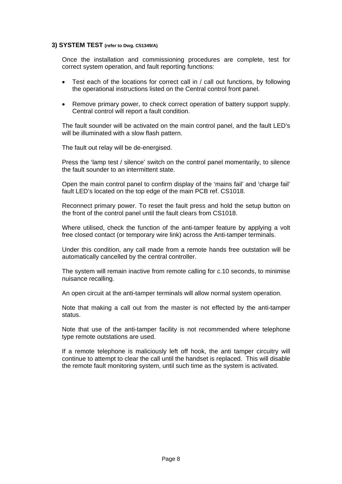#### **3) SYSTEM TEST (refer to Dwg. C51349/A)**

Once the installation and commissioning procedures are complete, test for correct system operation, and fault reporting functions:

- Test each of the locations for correct call in / call out functions, by following the operational instructions listed on the Central control front panel.
- Remove primary power, to check correct operation of battery support supply. Central control will report a fault condition.

The fault sounder will be activated on the main control panel, and the fault LED's will be illuminated with a slow flash pattern.

The fault out relay will be de-energised.

Press the 'lamp test / silence' switch on the control panel momentarily, to silence the fault sounder to an intermittent state.

Open the main control panel to confirm display of the 'mains fail' and 'charge fail' fault LED's located on the top edge of the main PCB ref. CS1018.

Reconnect primary power. To reset the fault press and hold the setup button on the front of the control panel until the fault clears from CS1018.

Where utilised, check the function of the anti-tamper feature by applying a volt free closed contact (or temporary wire link) across the Anti-tamper terminals.

Under this condition, any call made from a remote hands free outstation will be automatically cancelled by the central controller.

The system will remain inactive from remote calling for c.10 seconds, to minimise nuisance recalling.

An open circuit at the anti-tamper terminals will allow normal system operation.

Note that making a call out from the master is not effected by the anti-tamper status.

Note that use of the anti-tamper facility is not recommended where telephone type remote outstations are used.

If a remote telephone is maliciously left off hook, the anti tamper circuitry will continue to attempt to clear the call until the handset is replaced. This will disable the remote fault monitoring system, until such time as the system is activated.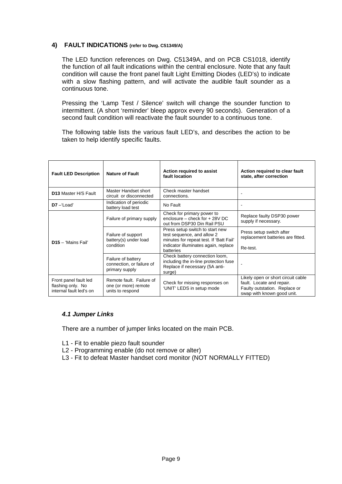#### **4) FAULT INDICATIONS (refer to Dwg. C51349/A)**

The LED function references on Dwg. C51349A, and on PCB CS1018, identify the function of all fault indications within the central enclosure. Note that any fault condition will cause the front panel fault Light Emitting Diodes (LED's) to indicate with a slow flashing pattern, and will activate the audible fault sounder as a continuous tone.

Pressing the 'Lamp Test / Silence' switch will change the sounder function to intermittent. (A short 'reminder' bleep approx every 90 seconds). Generation of a second fault condition will reactivate the fault sounder to a continuous tone.

The following table lists the various fault LED's, and describes the action to be taken to help identify specific faults.

| <b>Fault LED Description</b>                                          | <b>Nature of Fault</b>                                               | Action required to assist<br>fault location                                                                                                                          | Action required to clear fault<br>state, after correction                                                                      |
|-----------------------------------------------------------------------|----------------------------------------------------------------------|----------------------------------------------------------------------------------------------------------------------------------------------------------------------|--------------------------------------------------------------------------------------------------------------------------------|
| <b>D13 Master H/S Fault</b>                                           | Master Handset short<br>circuit or disconnected                      | Check master handset<br>connections.                                                                                                                                 |                                                                                                                                |
| $D7 -$ Load'                                                          | Indication of periodic<br>battery load test                          | No Fault                                                                                                                                                             |                                                                                                                                |
| $D15 - 'Mains Fail'$                                                  | Failure of primary supply                                            | Check for primary power to<br>enclosure – check for + 28V DC<br>out from DSP30 Din Rail PSU                                                                          | Replace faulty DSP30 power<br>supply if necessary.                                                                             |
|                                                                       | Failure of support<br>battery(s) under load<br>condition             | Press setup switch to start new<br>test sequence, and allow 2<br>minutes for repeat test. If 'Batt Fail'<br>indicator illuminates again, replace<br><b>batteries</b> | Press setup switch after<br>replacement batteries are fitted.<br>Re-test.                                                      |
|                                                                       | Failure of battery<br>connection, or failure of<br>primary supply    | Check battery connection loom,<br>including the in-line protection fuse<br>Replace if necessary (5A anti-<br>surge)                                                  |                                                                                                                                |
| Front panel fault led<br>flashing only. No<br>internal fault led's on | Remote fault. Failure of<br>one (or more) remote<br>units to respond | Check for missing responses on<br>'UNIT' LEDS in setup mode                                                                                                          | Likely open or short circuit cable<br>fault. Locate and repair.<br>Faulty outstation. Replace or<br>swap with known good unit. |

#### *4.1 Jumper Links*

There are a number of jumper links located on the main PCB.

- L1 Fit to enable piezo fault sounder
- L2 Programming enable (do not remove or alter)
- L3 Fit to defeat Master handset cord monitor (NOT NORMALLY FITTED)